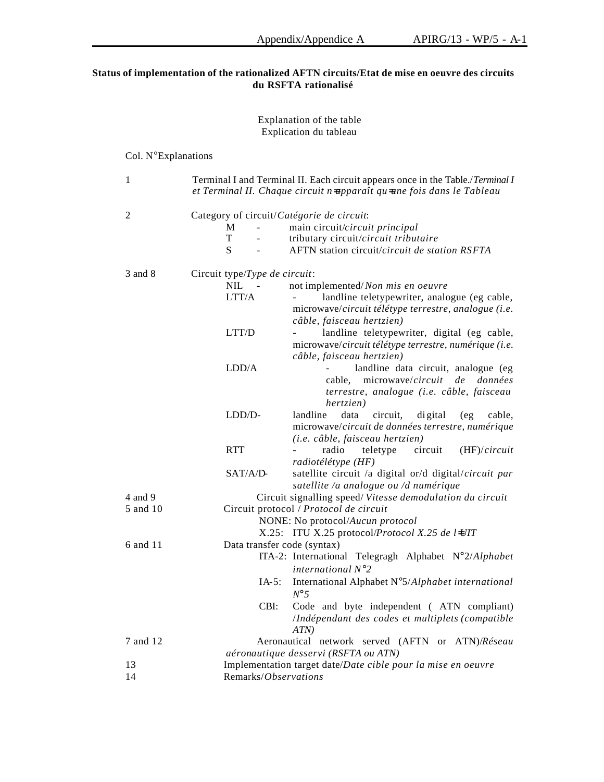## **Status of implementation of the rationalized AFTN circuits/Etat de mise en oeuvre des circuits du RSFTA rationalisé**

### Explanation of the table Explication du tableau

## Col. N°Explanations 1 Terminal I and Terminal II. Each circuit appears once in the Table./*Terminal I et Terminal II. Chaque circuit n=apparaît qu=une fois dans le Tableau* 2 Category of circuit/*Catégorie de circuit*: M - main circuit/*circuit principal* T - tributary circuit/*circuit tributaire*<br>S - AFTN station circuit/*circuit de sta* AFTN station circuit/*circuit de station RSFTA* 3 and 8 Circuit type/*Type de circuit*: NIL - not implemented/*Non mis en oeuvre* LTT/A - landline teletypewriter, analogue (eg cable, microwave/*circuit télétype terrestre, analogue (i.e. câble, faisceau hertzien)* LTT/D - landline teletypewriter, digital (eg cable, microwave/*circuit télétype terrestre, numérique (i.e. câble, faisceau hertzien)* LDD/A - landline data circuit, analogue (eg cable, microwave/*circuit de données terrestre, analogue (i.e. câble, faisceau hertzien)* LDD/D- landline data circuit, digital (eg cable, microwave/*circuit de données terrestre, numérique (i.e. câble, faisceau hertzien)* RTT - radio teletype circuit (HF)/*circuit radiotélétype (HF)* SAT/A/D- satellite circuit /a digital or/d digital/*circuit par satellite /a analogue ou /d numérique* 4 and 9 Circuit signalling speed/ *Vitesse demodulation du circuit* 5 and 10 Circuit protocol / *Protocol de circuit* NONE: No protocol/*Aucun protocol* X.25: ITU X.25 protocol/*Protocol X.25 de l=UIT* 6 and 11 Data transfer code (syntax) ITA-2: International Telegragh Alphabet N°2/*Alphabet international N°2* IA-5: International Alphabet N°5/*Alphabet international N°5* CBI: Code and byte independent ( ATN compliant) /*Indépendant des codes et multiplets (compatible ATN)* 7 and 12 Aeronautical network served (AFTN or ATN)/*Réseau aéronautique desservi (RSFTA ou ATN)* 13 Implementation target date/*Date cible pour la mise en oeuvre* 14 Remarks/*Observations*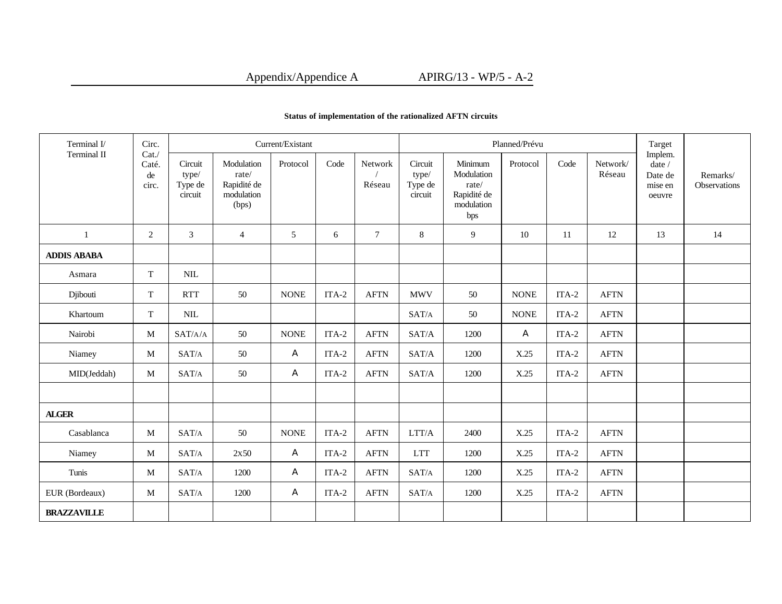| Terminal I/        | Circ.                        | Current/Existant                                           |                                                           |             |         |                   |                                                            |                                                                    | Planned/Prévu |         |                    | Target<br>Implem.                      |                          |
|--------------------|------------------------------|------------------------------------------------------------|-----------------------------------------------------------|-------------|---------|-------------------|------------------------------------------------------------|--------------------------------------------------------------------|---------------|---------|--------------------|----------------------------------------|--------------------------|
| Terminal II        | Cat.<br>Caté.<br>de<br>circ. | Circuit<br>type/<br>Type de<br>circuit                     | Modulation<br>rate/<br>Rapidité de<br>modulation<br>(bps) | Protocol    | Code    | Network<br>Réseau | Circuit<br>type/<br>Type de<br>circuit                     | Minimum<br>Modulation<br>rate/<br>Rapidité de<br>modulation<br>bps | Protocol      | Code    | Network/<br>Réseau | date /<br>Date de<br>mise en<br>oeuvre | Remarks/<br>Observations |
| 1                  | 2                            | 3                                                          | $\overline{4}$                                            | 5           | 6       | $\tau$            | 8                                                          | 9                                                                  | 10            | 11      | 12                 | 13                                     | 14                       |
| <b>ADDIS ABABA</b> |                              |                                                            |                                                           |             |         |                   |                                                            |                                                                    |               |         |                    |                                        |                          |
| Asmara             | T                            | $\text{NIL}$                                               |                                                           |             |         |                   |                                                            |                                                                    |               |         |                    |                                        |                          |
| Djibouti           | T                            | <b>RTT</b>                                                 | 50                                                        | <b>NONE</b> | ITA-2   | <b>AFTN</b>       | <b>MWV</b>                                                 | 50                                                                 | $\rm{NONE}$   | $ITA-2$ | <b>AFTN</b>        |                                        |                          |
| Khartoum           | T                            | $\text{NIL}$                                               |                                                           |             |         |                   | SAT/A                                                      | 50                                                                 | <b>NONE</b>   | $ITA-2$ | <b>AFTN</b>        |                                        |                          |
| Nairobi            | M                            | SAT/A/A                                                    | 50                                                        | <b>NONE</b> | ITA-2   | <b>AFTN</b>       | SAT/A                                                      | 1200                                                               | A             | $ITA-2$ | <b>AFTN</b>        |                                        |                          |
| Niamey             | M                            | SAT/A                                                      | 50                                                        | A           | $ITA-2$ | <b>AFTN</b>       | SAT/A                                                      | 1200                                                               | X.25          | $ITA-2$ | <b>AFTN</b>        |                                        |                          |
| MID(Jeddah)        | M                            | SAT/A                                                      | 50                                                        | A           | ITA-2   | <b>AFTN</b>       | SAT/A                                                      | 1200                                                               | X.25          | ITA-2   | <b>AFTN</b>        |                                        |                          |
|                    |                              |                                                            |                                                           |             |         |                   |                                                            |                                                                    |               |         |                    |                                        |                          |
| <b>ALGER</b>       |                              |                                                            |                                                           |             |         |                   |                                                            |                                                                    |               |         |                    |                                        |                          |
| Casablanca         | M                            | SAT/A                                                      | 50                                                        | <b>NONE</b> | $ITA-2$ | <b>AFTN</b>       | $\rm LTT/A$                                                | 2400                                                               | X.25          | $ITA-2$ | <b>AFTN</b>        |                                        |                          |
| Niamey             | M                            | SAT/A                                                      | 2x50                                                      | A           | ITA-2   | <b>AFTN</b>       | <b>LTT</b>                                                 | 1200                                                               | X.25          | $ITA-2$ | <b>AFTN</b>        |                                        |                          |
| Tunis              | M                            | $\ensuremath{\mathrm{SAT}}\xspace/\ensuremath{\mathrm{A}}$ | 1200                                                      | A           | ITA-2   | <b>AFTN</b>       | $\ensuremath{\mathrm{SAT}}\xspace/\ensuremath{\mathrm{A}}$ | 1200                                                               | X.25          | $ITA-2$ | <b>AFTN</b>        |                                        |                          |
| EUR (Bordeaux)     | M                            | SAT/A                                                      | 1200                                                      | A           | $ITA-2$ | <b>AFTN</b>       | SAT/A                                                      | 1200                                                               | X.25          | $ITA-2$ | <b>AFTN</b>        |                                        |                          |
| <b>BRAZZAVILLE</b> |                              |                                                            |                                                           |             |         |                   |                                                            |                                                                    |               |         |                    |                                        |                          |

### **Status of implementation of the rationalized AFTN circuits**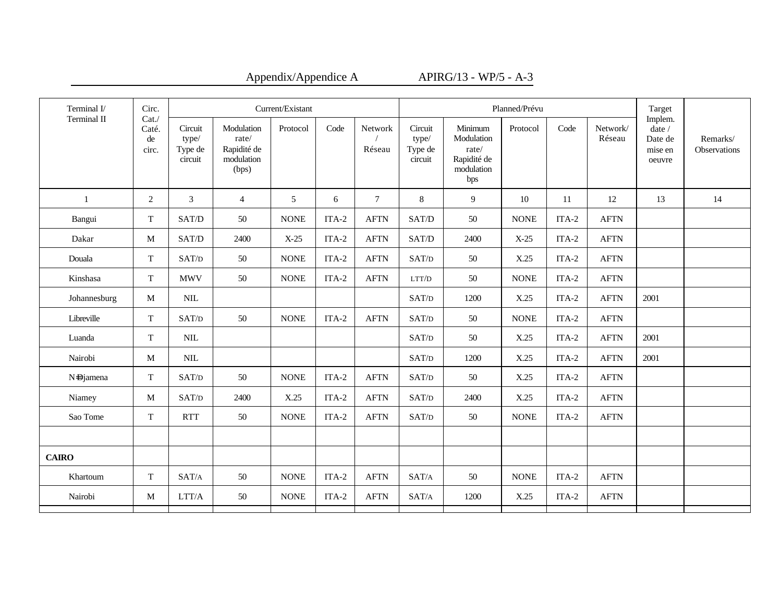| Terminal I/  | Circ.                        | Current/Existant                       |                                                           |             |         |                   |                                        |                                                                    | Planned/Prévu |         |                       | Target                                                   |                          |
|--------------|------------------------------|----------------------------------------|-----------------------------------------------------------|-------------|---------|-------------------|----------------------------------------|--------------------------------------------------------------------|---------------|---------|-----------------------|----------------------------------------------------------|--------------------------|
| Terminal II  | Cat.<br>Caté.<br>de<br>circ. | Circuit<br>type/<br>Type de<br>circuit | Modulation<br>rate/<br>Rapidité de<br>modulation<br>(bps) | Protocol    | Code    | Network<br>Réseau | Circuit<br>type/<br>Type de<br>circuit | Minimum<br>Modulation<br>rate/<br>Rapidité de<br>modulation<br>bps | Protocol      | Code    | Network/<br>Réseau    | Implem.<br>date $\prime$<br>Date de<br>mise en<br>oeuvre | Remarks/<br>Observations |
| $\mathbf{1}$ | 2                            | $\mathfrak{Z}$                         | $\overline{4}$                                            | 5           | 6       | $7\phantom{.0}$   | $8\,$                                  | 9                                                                  | 10            | 11      | 12                    | 13                                                       | 14                       |
| Bangui       | T                            | SAT/D                                  | 50                                                        | <b>NONE</b> | $ITA-2$ | <b>AFTN</b>       | SAT/D                                  | 50                                                                 | <b>NONE</b>   | $ITA-2$ | <b>AFTN</b>           |                                                          |                          |
| Dakar        | M                            | SAT/D                                  | 2400                                                      | $X-25$      | ITA-2   | <b>AFTN</b>       | SAT/D                                  | 2400                                                               | $X-25$        | ITA-2   | <b>AFTN</b>           |                                                          |                          |
| Douala       | $\mathbf T$                  | SAT/D                                  | 50                                                        | <b>NONE</b> | $ITA-2$ | <b>AFTN</b>       | SAT/D                                  | 50                                                                 | X.25          | ITA-2   | <b>AFTN</b>           |                                                          |                          |
| Kinshasa     | T                            | <b>MWV</b>                             | 50                                                        | $\rm{NONE}$ | $ITA-2$ | <b>AFTN</b>       | LTT/D                                  | 50                                                                 | <b>NONE</b>   | $ITA-2$ | <b>AFTN</b>           |                                                          |                          |
| Johannesburg | M                            | $\text{NIL}$                           |                                                           |             |         |                   | SAT/D                                  | 1200                                                               | X.25          | $ITA-2$ | <b>AFTN</b>           | 2001                                                     |                          |
| Libreville   | $\mathbf T$                  | SAT/D                                  | 50                                                        | <b>NONE</b> | $ITA-2$ | <b>AFTN</b>       | SAT/D                                  | 50                                                                 | <b>NONE</b>   | $ITA-2$ | <b>AFTN</b>           |                                                          |                          |
| Luanda       | T                            | $\text{NIL}$                           |                                                           |             |         |                   | SAT/D                                  | 50                                                                 | X.25          | ITA-2   | <b>AFTN</b>           | 2001                                                     |                          |
| Nairobi      | $\mathbf M$                  | $\text{NIL}$                           |                                                           |             |         |                   | SAT/D                                  | 1200                                                               | X.25          | $ITA-2$ | <b>AFTN</b>           | 2001                                                     |                          |
| N-Djamena    | T                            | SAT/D                                  | 50                                                        | <b>NONE</b> | ITA-2   | <b>AFTN</b>       | SAT/D                                  | 50                                                                 | X.25          | ITA-2   | <b>AFTN</b>           |                                                          |                          |
| Niamey       | M                            | SAT/D                                  | 2400                                                      | X.25        | $ITA-2$ | <b>AFTN</b>       | SAT/D                                  | 2400                                                               | X.25          | $ITA-2$ | <b>AFTN</b>           |                                                          |                          |
| Sao Tome     | T                            | <b>RTT</b>                             | 50                                                        | <b>NONE</b> | $ITA-2$ | <b>AFTN</b>       | SAT/D                                  | 50                                                                 | <b>NONE</b>   | $ITA-2$ | $\operatorname{AFTN}$ |                                                          |                          |
|              |                              |                                        |                                                           |             |         |                   |                                        |                                                                    |               |         |                       |                                                          |                          |
| <b>CAIRO</b> |                              |                                        |                                                           |             |         |                   |                                        |                                                                    |               |         |                       |                                                          |                          |
| Khartoum     | T                            | SAT/A                                  | 50                                                        | <b>NONE</b> | ITA-2   | <b>AFTN</b>       | SAT/A                                  | 50                                                                 | <b>NONE</b>   | ITA-2   | <b>AFTN</b>           |                                                          |                          |
| Nairobi      | $\mathbf M$                  | $\rm LTT/A$                            | 50                                                        | <b>NONE</b> | $ITA-2$ | <b>AFTN</b>       | SAT/A                                  | 1200                                                               | X.25          | ITA-2   | <b>AFTN</b>           |                                                          |                          |
|              |                              |                                        |                                                           |             |         |                   |                                        |                                                                    |               |         |                       |                                                          |                          |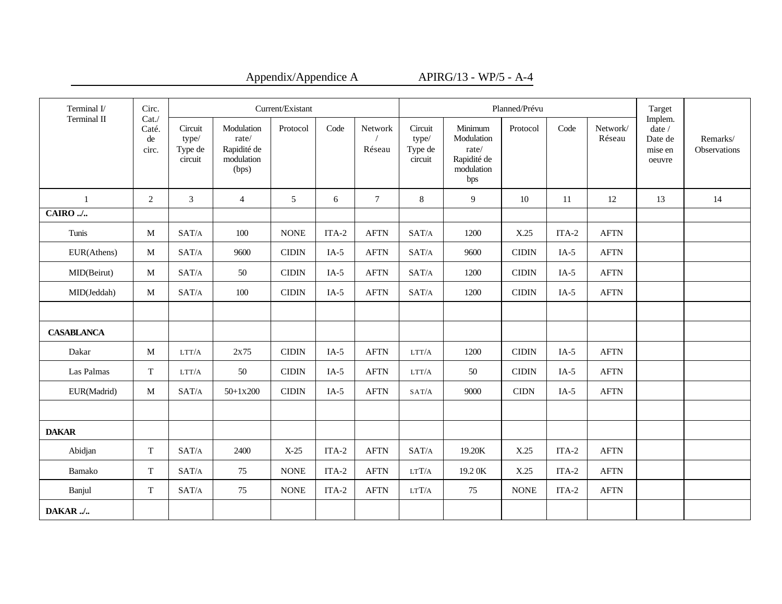| Terminal I/       | Circ.                        | Current/Existant                       |                                                           |                |         |                   |                                        |                                                                    | Planned/Prévu |         |                       | Target                                            |                          |
|-------------------|------------------------------|----------------------------------------|-----------------------------------------------------------|----------------|---------|-------------------|----------------------------------------|--------------------------------------------------------------------|---------------|---------|-----------------------|---------------------------------------------------|--------------------------|
| Terminal II       | Cat.<br>Caté.<br>de<br>circ. | Circuit<br>type/<br>Type de<br>circuit | Modulation<br>rate/<br>Rapidité de<br>modulation<br>(bps) | Protocol       | Code    | Network<br>Réseau | Circuit<br>type/<br>Type de<br>circuit | Minimum<br>Modulation<br>rate/<br>Rapidité de<br>modulation<br>bps | Protocol      | Code    | Network/<br>Réseau    | Implem.<br>date /<br>Date de<br>mise en<br>oeuvre | Remarks/<br>Observations |
| -1                | 2                            | 3                                      | $\overline{4}$                                            | 5              | 6       | $\tau$            | 8                                      | 9                                                                  | 10            | 11      | 12                    | 13                                                | 14                       |
| CAIRO /           |                              |                                        |                                                           |                |         |                   |                                        |                                                                    |               |         |                       |                                                   |                          |
| Tunis             | M                            | SAT/A                                  | 100                                                       | <b>NONE</b>    | ITA-2   | <b>AFTN</b>       | SAT/A                                  | 1200                                                               | X.25          | ITA-2   | <b>AFTN</b>           |                                                   |                          |
| EUR(Athens)       | M                            | SAT/A                                  | 9600                                                      | <b>CIDIN</b>   | $IA-5$  | <b>AFTN</b>       | SAT/A                                  | 9600                                                               | <b>CIDIN</b>  | $IA-5$  | <b>AFTN</b>           |                                                   |                          |
| MID(Beirut)       | M                            | SAT/A                                  | 50                                                        | <b>CIDIN</b>   | $IA-5$  | <b>AFTN</b>       | SAT/A                                  | 1200                                                               | <b>CIDIN</b>  | $IA-5$  | <b>AFTN</b>           |                                                   |                          |
| MID(Jeddah)       | M                            | $\text{SAT}/\text{A}$                  | 100                                                       | $\text{CIDIN}$ | $IA-5$  | <b>AFTN</b>       | SAT/A                                  | 1200                                                               | <b>CIDIN</b>  | $IA-5$  | $\operatorname{AFTN}$ |                                                   |                          |
|                   |                              |                                        |                                                           |                |         |                   |                                        |                                                                    |               |         |                       |                                                   |                          |
| <b>CASABLANCA</b> |                              |                                        |                                                           |                |         |                   |                                        |                                                                    |               |         |                       |                                                   |                          |
| Dakar             | $\mathbf{M}$                 | LTT/A                                  | 2x75                                                      | <b>CIDIN</b>   | $IA-5$  | <b>AFTN</b>       | LTT/A                                  | 1200                                                               | <b>CIDIN</b>  | $IA-5$  | <b>AFTN</b>           |                                                   |                          |
| Las Palmas        | T                            | LTT/A                                  | 50                                                        | <b>CIDIN</b>   | $IA-5$  | <b>AFTN</b>       | LTT/A                                  | 50                                                                 | <b>CIDIN</b>  | $IA-5$  | <b>AFTN</b>           |                                                   |                          |
| EUR(Madrid)       | M                            | SAT/A                                  | $50+1x200$                                                | <b>CIDIN</b>   | $IA-5$  | <b>AFTN</b>       | SAT/A                                  | 9000                                                               | <b>CIDN</b>   | $IA-5$  | <b>AFTN</b>           |                                                   |                          |
|                   |                              |                                        |                                                           |                |         |                   |                                        |                                                                    |               |         |                       |                                                   |                          |
| <b>DAKAR</b>      |                              |                                        |                                                           |                |         |                   |                                        |                                                                    |               |         |                       |                                                   |                          |
| Abidjan           | T                            | SAT/A                                  | 2400                                                      | $X-25$         | $ITA-2$ | <b>AFTN</b>       | $\text{SAT}/\text{A}$                  | 19.20K                                                             | X.25          | $ITA-2$ | <b>AFTN</b>           |                                                   |                          |
| Bamako            | $\mathbf T$                  | SAT/A                                  | 75                                                        | <b>NONE</b>    | $ITA-2$ | <b>AFTN</b>       | $_{\rm LTT/A}$                         | 19.2 OK                                                            | X.25          | $ITA-2$ | <b>AFTN</b>           |                                                   |                          |
| Banjul            | T                            | SAT/A                                  | 75                                                        | <b>NONE</b>    | $ITA-2$ | <b>AFTN</b>       | LTT/A                                  | 75                                                                 | <b>NONE</b>   | $ITA-2$ | $\operatorname{AFTN}$ |                                                   |                          |
| DAKAR/            |                              |                                        |                                                           |                |         |                   |                                        |                                                                    |               |         |                       |                                                   |                          |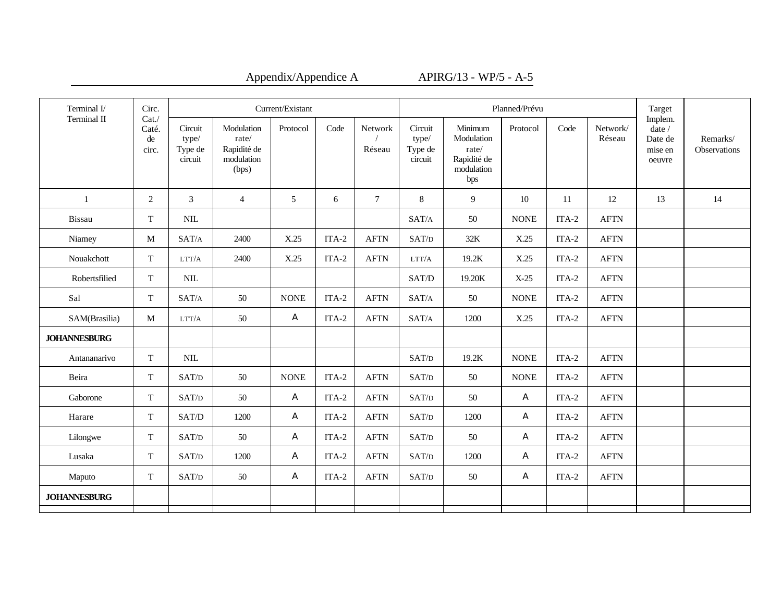| Terminal I/         | Circ.                               | Current/Existant                       |                                                           |             |         |                   |                                        |                                                                    | Planned/Prévu |         |                    | Target                                              |                          |
|---------------------|-------------------------------------|----------------------------------------|-----------------------------------------------------------|-------------|---------|-------------------|----------------------------------------|--------------------------------------------------------------------|---------------|---------|--------------------|-----------------------------------------------------|--------------------------|
| Terminal II         | Cat.<br>Caté.<br>$\rm{de}$<br>circ. | Circuit<br>type/<br>Type de<br>circuit | Modulation<br>rate/<br>Rapidité de<br>modulation<br>(bps) | Protocol    | Code    | Network<br>Réseau | Circuit<br>type/<br>Type de<br>circuit | Minimum<br>Modulation<br>rate/<br>Rapidité de<br>modulation<br>bps | Protocol      | Code    | Network/<br>Réseau | Implem.<br>date $/$<br>Date de<br>mise en<br>oeuvre | Remarks/<br>Observations |
| 1                   | 2                                   | $\overline{3}$                         | $\overline{4}$                                            | 5           | 6       | $\overline{7}$    | 8                                      | 9                                                                  | 10            | 11      | 12                 | 13                                                  | 14                       |
| Bissau              | $\mathbf T$                         | $\text{NIL}$                           |                                                           |             |         |                   | SAT/A                                  | 50                                                                 | <b>NONE</b>   | $ITA-2$ | <b>AFTN</b>        |                                                     |                          |
| Niamey              | M                                   | SAT/A                                  | 2400                                                      | X.25        | ITA-2   | <b>AFTN</b>       | SAT/D                                  | 32K                                                                | X.25          | ITA-2   | <b>AFTN</b>        |                                                     |                          |
| Nouakchott          | T                                   | LTT/A                                  | 2400                                                      | X.25        | ITA-2   | <b>AFTN</b>       | LTT/A                                  | 19.2K                                                              | X.25          | ITA-2   | <b>AFTN</b>        |                                                     |                          |
| Robertsfilied       | T                                   | $NIL$                                  |                                                           |             |         |                   | SAT/D                                  | 19.20K                                                             | $X-25$        | ITA-2   | <b>AFTN</b>        |                                                     |                          |
| Sal                 | $\mathbf T$                         | SAT/A                                  | 50                                                        | <b>NONE</b> | ITA-2   | <b>AFTN</b>       | SAT/A                                  | 50                                                                 | <b>NONE</b>   | $ITA-2$ | <b>AFTN</b>        |                                                     |                          |
| SAM(Brasilia)       | M                                   | LTT/A                                  | 50                                                        | A           | ITA-2   | <b>AFTN</b>       | SAT/A                                  | 1200                                                               | X.25          | ITA-2   | <b>AFTN</b>        |                                                     |                          |
| <b>JOHANNESBURG</b> |                                     |                                        |                                                           |             |         |                   |                                        |                                                                    |               |         |                    |                                                     |                          |
| Antananarivo        | $\mathbf T$                         | $NIL$                                  |                                                           |             |         |                   | SAT/D                                  | 19.2K                                                              | <b>NONE</b>   | ITA-2   | <b>AFTN</b>        |                                                     |                          |
| Beira               | T                                   | SAT/D                                  | 50                                                        | <b>NONE</b> | ITA-2   | <b>AFTN</b>       | SAT/D                                  | 50                                                                 | <b>NONE</b>   | ITA-2   | <b>AFTN</b>        |                                                     |                          |
| Gaborone            | T                                   | SAT/D                                  | 50                                                        | A           | $ITA-2$ | <b>AFTN</b>       | SAT/D                                  | 50                                                                 | A             | $ITA-2$ | <b>AFTN</b>        |                                                     |                          |
| Harare              | T                                   | SAT/D                                  | 1200                                                      | A           | ITA-2   | <b>AFTN</b>       | SAT/D                                  | 1200                                                               | A             | $ITA-2$ | <b>AFTN</b>        |                                                     |                          |
| Lilongwe            | T                                   | SAT/D                                  | 50                                                        | A           | ITA-2   | <b>AFTN</b>       | SAT/D                                  | 50                                                                 | A             | ITA-2   | <b>AFTN</b>        |                                                     |                          |
| Lusaka              | $\mathbf T$                         | SAT/D                                  | 1200                                                      | A           | $ITA-2$ | <b>AFTN</b>       | SAT/D                                  | 1200                                                               | A             | $ITA-2$ | <b>AFTN</b>        |                                                     |                          |
| Maputo              | T                                   | SAT/D                                  | 50                                                        | A           | $ITA-2$ | <b>AFTN</b>       | SAT/D                                  | 50                                                                 | A             | ITA-2   | <b>AFTN</b>        |                                                     |                          |
| <b>JOHANNESBURG</b> |                                     |                                        |                                                           |             |         |                   |                                        |                                                                    |               |         |                    |                                                     |                          |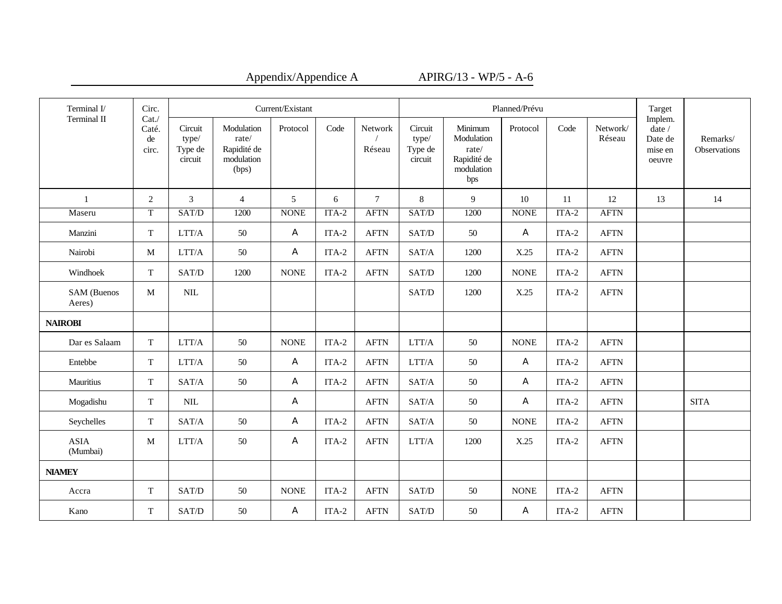| Terminal I/             | Circ.                        |                                        | Current/Existant                                          |             |         |                   |                                        |                                                                    | Planned/Prévu |         |                       | Target                                            |                          |
|-------------------------|------------------------------|----------------------------------------|-----------------------------------------------------------|-------------|---------|-------------------|----------------------------------------|--------------------------------------------------------------------|---------------|---------|-----------------------|---------------------------------------------------|--------------------------|
| Terminal II             | Cat.<br>Caté.<br>de<br>circ. | Circuit<br>type/<br>Type de<br>circuit | Modulation<br>rate/<br>Rapidité de<br>modulation<br>(bps) | Protocol    | Code    | Network<br>Réseau | Circuit<br>type/<br>Type de<br>circuit | Minimum<br>Modulation<br>rate/<br>Rapidité de<br>modulation<br>bps | Protocol      | Code    | Network/<br>Réseau    | Implem.<br>date /<br>Date de<br>mise en<br>oeuvre | Remarks/<br>Observations |
| 1                       | $\overline{2}$               | $\mathfrak{Z}$                         | $\overline{4}$                                            | 5           | 6       | $\tau$            | $\,8\,$                                | 9                                                                  | 10            | 11      | 12                    | 13                                                | 14                       |
| Maseru                  | T                            | SAT/D                                  | 1200                                                      | <b>NONE</b> | $ITA-2$ | <b>AFTN</b>       | SAT/D                                  | 1200                                                               | <b>NONE</b>   | $ITA-2$ | <b>AFTN</b>           |                                                   |                          |
| Manzini                 | $\mathbf T$                  | LTT/A                                  | 50                                                        | A           | $ITA-2$ | <b>AFTN</b>       | SAT/D                                  | 50                                                                 | A             | ITA-2   | <b>AFTN</b>           |                                                   |                          |
| Nairobi                 | M                            | LTT/A                                  | 50                                                        | A           | ITA-2   | <b>AFTN</b>       | SAT/A                                  | 1200                                                               | X.25          | ITA-2   | <b>AFTN</b>           |                                                   |                          |
| Windhoek                | $\mathbf T$                  | SAT/D                                  | 1200                                                      | <b>NONE</b> | $ITA-2$ | <b>AFTN</b>       | SAT/D                                  | 1200                                                               | <b>NONE</b>   | ITA-2   | <b>AFTN</b>           |                                                   |                          |
| SAM (Buenos<br>Aeres)   | M                            | $\mbox{NIL}$                           |                                                           |             |         |                   | SAT/D                                  | 1200                                                               | X.25          | ITA-2   | <b>AFTN</b>           |                                                   |                          |
| <b>NAIROBI</b>          |                              |                                        |                                                           |             |         |                   |                                        |                                                                    |               |         |                       |                                                   |                          |
| Dar es Salaam           | T                            | LTT/A                                  | 50                                                        | <b>NONE</b> | ITA-2   | <b>AFTN</b>       | LTT/A                                  | 50                                                                 | <b>NONE</b>   | ITA-2   | <b>AFTN</b>           |                                                   |                          |
| Entebbe                 | $\mathbf T$                  | $\rm LTT/A$                            | 50                                                        | A           | $ITA-2$ | <b>AFTN</b>       | $\rm LTT/A$                            | 50                                                                 | A             | $ITA-2$ | <b>AFTN</b>           |                                                   |                          |
| Mauritius               | T                            | SAT/A                                  | 50                                                        | A           | ITA-2   | <b>AFTN</b>       | SAT/A                                  | 50                                                                 | A             | ITA-2   | <b>AFTN</b>           |                                                   |                          |
| Mogadishu               | T                            | $\mbox{NIL}$                           |                                                           | A           |         | <b>AFTN</b>       | SAT/A                                  | 50                                                                 | A             | $ITA-2$ | <b>AFTN</b>           |                                                   | <b>SITA</b>              |
| Seychelles              | T                            | SAT/A                                  | 50                                                        | A           | ITA-2   | <b>AFTN</b>       | SAT/A                                  | 50                                                                 | <b>NONE</b>   | ITA-2   | <b>AFTN</b>           |                                                   |                          |
| <b>ASIA</b><br>(Mumbai) | M                            | LTT/A                                  | 50                                                        | A           | ITA-2   | <b>AFTN</b>       | $\rm LTT/A$                            | 1200                                                               | X.25          | ITA-2   | <b>AFTN</b>           |                                                   |                          |
| <b>NIAMEY</b>           |                              |                                        |                                                           |             |         |                   |                                        |                                                                    |               |         |                       |                                                   |                          |
| Accra                   | T                            | SAT/D                                  | 50                                                        | $\rm{NONE}$ | ITA-2   | <b>AFTN</b>       | SAT/D                                  | 50                                                                 | <b>NONE</b>   | ITA-2   | $\operatorname{AFTN}$ |                                                   |                          |
| Kano                    | T                            | SAT/D                                  | 50                                                        | A           | $ITA-2$ | <b>AFTN</b>       | SAT/D                                  | 50                                                                 | A             | ITA-2   | <b>AFTN</b>           |                                                   |                          |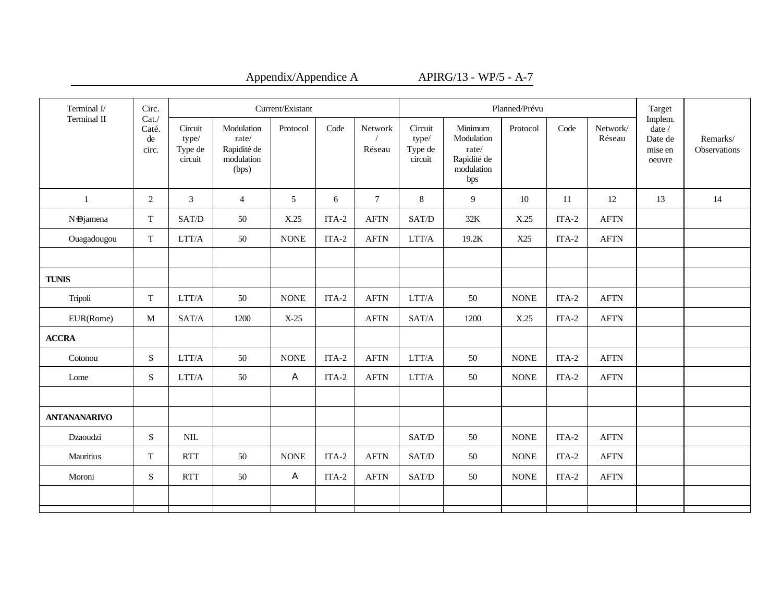| Terminal I/         | Circ.                        | Current/Existant                       |                                                           |             |         |                   |                                        |                                                                    | Planned/Prévu |         |                    | Target                                                   |                          |
|---------------------|------------------------------|----------------------------------------|-----------------------------------------------------------|-------------|---------|-------------------|----------------------------------------|--------------------------------------------------------------------|---------------|---------|--------------------|----------------------------------------------------------|--------------------------|
| Terminal II         | Cat.<br>Caté.<br>de<br>circ. | Circuit<br>type/<br>Type de<br>circuit | Modulation<br>rate/<br>Rapidité de<br>modulation<br>(bps) | Protocol    | Code    | Network<br>Réseau | Circuit<br>type/<br>Type de<br>circuit | Minimum<br>Modulation<br>rate/<br>Rapidité de<br>modulation<br>bps | Protocol      | Code    | Network/<br>Réseau | Implem.<br>date $\prime$<br>Date de<br>mise en<br>oeuvre | Remarks/<br>Observations |
| 1                   | 2                            | $\mathfrak{Z}$                         | $\overline{4}$                                            | 5           | 6       | $\tau$            | $8\,$                                  | 9                                                                  | 10            | 11      | 12                 | 13                                                       | 14                       |
| N-Djamena           | T                            | SAT/D                                  | 50                                                        | X.25        | ITA-2   | <b>AFTN</b>       | SAT/D                                  | 32K                                                                | X.25          | $ITA-2$ | <b>AFTN</b>        |                                                          |                          |
| Ouagadougou         | T                            | $\rm LTT/A$                            | 50                                                        | <b>NONE</b> | ITA-2   | <b>AFTN</b>       | $\rm LTT/A$                            | 19.2K                                                              | X25           | ITA-2   | <b>AFTN</b>        |                                                          |                          |
|                     |                              |                                        |                                                           |             |         |                   |                                        |                                                                    |               |         |                    |                                                          |                          |
| <b>TUNIS</b>        |                              |                                        |                                                           |             |         |                   |                                        |                                                                    |               |         |                    |                                                          |                          |
| Tripoli             | T                            | LTT/A                                  | 50                                                        | <b>NONE</b> | ITA-2   | <b>AFTN</b>       | LTT/A                                  | 50                                                                 | <b>NONE</b>   | ITA-2   | <b>AFTN</b>        |                                                          |                          |
| EUR(Rome)           | M                            | SAT/A                                  | 1200                                                      | $X-25$      |         | <b>AFTN</b>       | SAT/A                                  | 1200                                                               | X.25          | $ITA-2$ | <b>AFTN</b>        |                                                          |                          |
| <b>ACCRA</b>        |                              |                                        |                                                           |             |         |                   |                                        |                                                                    |               |         |                    |                                                          |                          |
| Cotonou             | ${\bf S}$                    | $\rm LTT/A$                            | 50                                                        | <b>NONE</b> | $ITA-2$ | <b>AFTN</b>       | $\rm LTT/A$                            | 50                                                                 | $\rm{NONE}$   | $ITA-2$ | <b>AFTN</b>        |                                                          |                          |
| Lome                | S                            | $\rm LTT/A$                            | $50\,$                                                    | A           | ITA-2   | <b>AFTN</b>       | $\rm LTT/A$                            | 50                                                                 | <b>NONE</b>   | ITA-2   | <b>AFTN</b>        |                                                          |                          |
|                     |                              |                                        |                                                           |             |         |                   |                                        |                                                                    |               |         |                    |                                                          |                          |
| <b>ANTANANARIVO</b> |                              |                                        |                                                           |             |         |                   |                                        |                                                                    |               |         |                    |                                                          |                          |
| Dzaoudzi            | S                            | $\text{NIL}$                           |                                                           |             |         |                   | SAT/D                                  | 50                                                                 | <b>NONE</b>   | $ITA-2$ | <b>AFTN</b>        |                                                          |                          |
| <b>Mauritius</b>    | T                            | <b>RTT</b>                             | 50                                                        | <b>NONE</b> | $ITA-2$ | <b>AFTN</b>       | SAT/D                                  | 50                                                                 | <b>NONE</b>   | ITA-2   | <b>AFTN</b>        |                                                          |                          |
| Moroni              | S                            | <b>RTT</b>                             | 50                                                        | A           | ITA-2   | <b>AFTN</b>       | SAT/D                                  | 50                                                                 | <b>NONE</b>   | ITA-2   | <b>AFTN</b>        |                                                          |                          |
|                     |                              |                                        |                                                           |             |         |                   |                                        |                                                                    |               |         |                    |                                                          |                          |
|                     |                              |                                        |                                                           |             |         |                   |                                        |                                                                    |               |         |                    |                                                          |                          |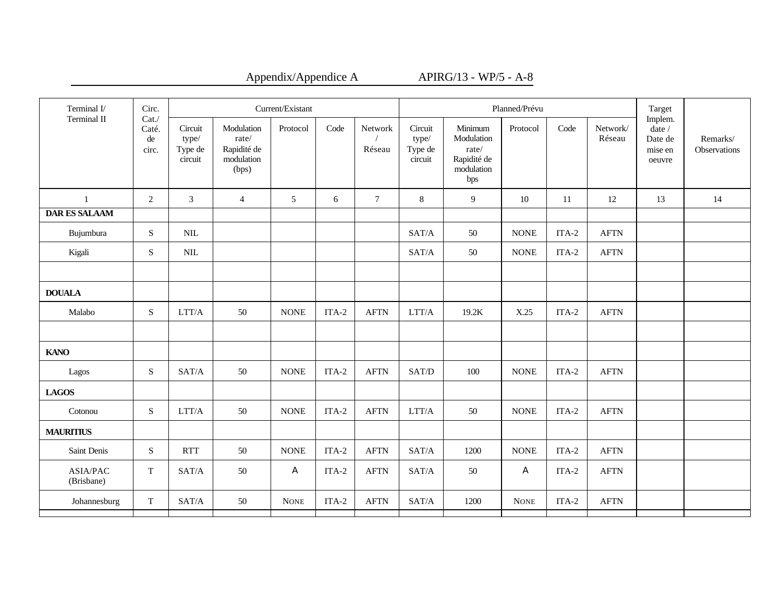| Appendix/Appendice. |  |
|---------------------|--|
|---------------------|--|

A APIRG/13 - WP/5 - A-8

| Terminal I/<br>Terminal II    | Circ.<br>Cat.        | Current/Existant                       |                                                           |             |         |                   |                                        |                                                                    | Planned/Prévu |         |                    | Target                                            |                          |
|-------------------------------|----------------------|----------------------------------------|-----------------------------------------------------------|-------------|---------|-------------------|----------------------------------------|--------------------------------------------------------------------|---------------|---------|--------------------|---------------------------------------------------|--------------------------|
| 1                             | Caté.<br>de<br>circ. | Circuit<br>type/<br>Type de<br>circuit | Modulation<br>rate/<br>Rapidité de<br>modulation<br>(bps) | Protocol    | Code    | Network<br>Réseau | Circuit<br>type/<br>Type de<br>circuit | Minimum<br>Modulation<br>rate/<br>Rapidité de<br>modulation<br>bps | Protocol      | Code    | Network/<br>Réseau | Implem.<br>date /<br>Date de<br>mise en<br>oeuvre | Remarks/<br>Observations |
|                               | 2                    | $\mathfrak{Z}$                         | $\overline{4}$                                            | 5           | 6       | $\tau$            | 8                                      | 9                                                                  | 10            | 11      | 12                 | 13                                                | 14                       |
| <b>DAR ES SALAAM</b>          |                      |                                        |                                                           |             |         |                   |                                        |                                                                    |               |         |                    |                                                   |                          |
| Bujumbura                     | S                    | $\text{NIL}$                           |                                                           |             |         |                   | SAT/A                                  | 50                                                                 | <b>NONE</b>   | ITA-2   | <b>AFTN</b>        |                                                   |                          |
| Kigali                        | S                    | $\text{NIL}$                           |                                                           |             |         |                   | SAT/A                                  | 50                                                                 | <b>NONE</b>   | $ITA-2$ | <b>AFTN</b>        |                                                   |                          |
| <b>DOUALA</b>                 |                      |                                        |                                                           |             |         |                   |                                        |                                                                    |               |         |                    |                                                   |                          |
| Malabo                        | S                    | LTT/A                                  | 50                                                        | <b>NONE</b> | ITA-2   | <b>AFTN</b>       | LTT/A                                  | 19.2K                                                              | X.25          | $ITA-2$ | <b>AFTN</b>        |                                                   |                          |
| <b>KANO</b>                   |                      |                                        |                                                           |             |         |                   |                                        |                                                                    |               |         |                    |                                                   |                          |
| Lagos                         | S                    | SAT/A                                  | 50                                                        | <b>NONE</b> | $ITA-2$ | <b>AFTN</b>       | SAT/D                                  | 100                                                                | <b>NONE</b>   | $ITA-2$ | <b>AFTN</b>        |                                                   |                          |
| <b>LAGOS</b>                  |                      |                                        |                                                           |             |         |                   |                                        |                                                                    |               |         |                    |                                                   |                          |
| Cotonou                       | ${\bf S}$            | $\rm LTT/A$                            | 50                                                        | <b>NONE</b> | $ITA-2$ | <b>AFTN</b>       | $\rm LTT/A$                            | 50                                                                 | <b>NONE</b>   | $ITA-2$ | <b>AFTN</b>        |                                                   |                          |
| <b>MAURITIUS</b>              |                      |                                        |                                                           |             |         |                   |                                        |                                                                    |               |         |                    |                                                   |                          |
| Saint Denis                   | ${\bf S}$            | <b>RTT</b>                             | 50                                                        | $\rm{NONE}$ | $ITA-2$ | <b>AFTN</b>       | SAT/A                                  | 1200                                                               | <b>NONE</b>   | $ITA-2$ | <b>AFTN</b>        |                                                   |                          |
| <b>ASIA/PAC</b><br>(Brisbane) | T                    | SAT/A                                  | 50                                                        | A           | ITA-2   | <b>AFTN</b>       | SAT/A                                  | 50                                                                 | A             | ITA-2   | <b>AFTN</b>        |                                                   |                          |
| Johannesburg                  | $\mathbf T$          | SAT/A                                  | 50                                                        | <b>NONE</b> | ITA-2   | <b>AFTN</b>       | SAT/A                                  | 1200                                                               | <b>NONE</b>   | $ITA-2$ | <b>AFTN</b>        |                                                   |                          |